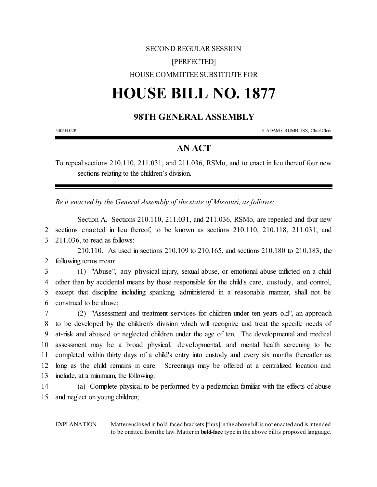## SECOND REGULAR SESSION [PERFECTED] HOUSE COMMITTEE SUBSTITUTE FOR

## **HOUSE BILL NO. 1877**

## **98TH GENERAL ASSEMBLY**

5404H.02P D. ADAM CRUMBLISS, ChiefClerk

## **AN ACT**

To repeal sections 210.110, 211.031, and 211.036, RSMo, and to enact in lieu thereof four new sections relating to the children's division.

*Be it enacted by the General Assembly of the state of Missouri, as follows:*

Section A. Sections 210.110, 211.031, and 211.036, RSMo, are repealed and four new 2 sections enacted in lieu thereof, to be known as sections 210.110, 210.118, 211.031, and 3 211.036, to read as follows:

210.110. As used in sections 210.109 to 210.165, and sections 210.180 to 210.183, the 2 following terms mean:

 (1) "Abuse", any physical injury, sexual abuse, or emotional abuse inflicted on a child other than by accidental means by those responsible for the child's care, custody, and control, except that discipline including spanking, administered in a reasonable manner, shall not be construed to be abuse;

 (2) "Assessment and treatment services for children under ten years old", an approach to be developed by the children's division which will recognize and treat the specific needs of at-risk and abused or neglected children under the age of ten. The developmental and medical assessment may be a broad physical, developmental, and mental health screening to be completed within thirty days of a child's entry into custody and every six months thereafter as long as the child remains in care. Screenings may be offered at a centralized location and include, at a minimum, the following:

14 (a) Complete physical to be performed by a pediatrician familiar with the effects of abuse 15 and neglect on young children;

EXPLANATION — Matter enclosed in bold-faced brackets [thus] in the above bill is not enacted and is intended to be omitted fromthe law. Matter in **bold-face** type in the above bill is proposed language.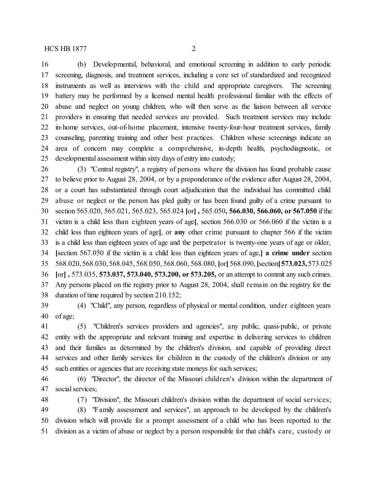(b) Developmental, behavioral, and emotional screening in addition to early periodic screening, diagnosis, and treatment services, including a core set of standardized and recognized instruments as well as interviews with the child and appropriate caregivers. The screening battery may be performed by a licensed mental health professional familiar with the effects of abuse and neglect on young children, who will then serve as the liaison between all service providers in ensuring that needed services are provided. Such treatment services may include in-home services, out-of-home placement, intensive twenty-four-hour treatment services, family counseling, parenting training and other best practices. Children whose screenings indicate an area of concern may complete a comprehensive, in-depth health, psychodiagnostic, or developmental assessment within sixty days of entry into custody;

 (3) "Central registry", a registry of persons where the division has found probable cause to believe prior to August 28, 2004, or by a preponderance ofthe evidence after August 28, 2004, or a court has substantiated through court adjudication that the individual has committed child abuse or neglect or the person has pled guilty or has been found guilty of a crime pursuant to section 565.020, 565.021, 565.023, 565.024 **[**or**] ,** 565.050**, 566.030, 566.060, or 567.050** if the victim is a child less than eighteen years of age**[**, section 566.030 or 566.060 if the victim is a child less than eighteen years of age**]**, or **any** other crime pursuant to chapter 566 if the victim is a child less than eighteen years of age and the perpetrator is twenty-one years of age or older, **[**section 567.050 if the victim is a child less than eighteen years of age,**] a crime under** section 568.020, 568.030, 568.045, 568.050, 568.060, 568.080, **[**or**]** 568.090, **[**section**]573.023,**573.025 **[**or**] ,** 573.035, **573.037, 573.040, 573.200, or 573.205,** or an attempt to commit any such crimes. Any persons placed on the registry prior to August 28, 2004, shall remain on the registry for the duration of time required by section 210.152;

 (4) "Child", any person, regardless of physical or mental condition, under eighteen years of age;

 (5) "Children's services providers and agencies", any public, quasi-public, or private entity with the appropriate and relevant training and expertise in delivering services to children and their families as determined by the children's division, and capable of providing direct services and other family services for children in the custody of the children's division or any such entities or agencies that are receiving state moneys for such services;

 (6) "Director", the director of the Missouri children's division within the department of social services;

 (7) "Division", the Missouri children's division within the department of social services; (8) "Family assessment and services", an approach to be developed by the children's division which will provide for a prompt assessment of a child who has been reported to the division as a victim of abuse or neglect by a person responsible for that child's care, custody or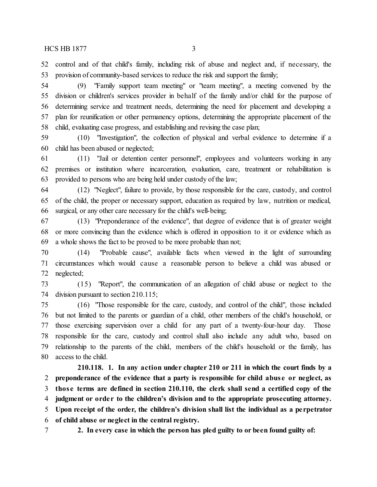control and of that child's family, including risk of abuse and neglect and, if necessary, the provision of community-based services to reduce the risk and support the family;

 (9) "Family support team meeting" or "team meeting", a meeting convened by the division or children's services provider in behalf of the family and/or child for the purpose of determining service and treatment needs, determining the need for placement and developing a plan for reunification or other permanency options, determining the appropriate placement of the child, evaluating case progress, and establishing and revising the case plan;

 (10) "Investigation", the collection of physical and verbal evidence to determine if a child has been abused or neglected;

 (11) "Jail or detention center personnel", employees and volunteers working in any premises or institution where incarceration, evaluation, care, treatment or rehabilitation is 63 provided to persons who are being held under custody of the law;

 (12) "Neglect", failure to provide, by those responsible for the care, custody, and control of the child, the proper or necessary support, education as required by law, nutrition or medical, surgical, or any other care necessary for the child's well-being;

 (13) "Preponderance of the evidence", that degree of evidence that is of greater weight or more convincing than the evidence which is offered in opposition to it or evidence which as a whole shows the fact to be proved to be more probable than not;

 (14) "Probable cause", available facts when viewed in the light of surrounding circumstances which would cause a reasonable person to believe a child was abused or neglected;

 (15) "Report", the communication of an allegation of child abuse or neglect to the division pursuant to section 210.115;

 (16) "Those responsible for the care, custody, and control of the child", those included but not limited to the parents or guardian of a child, other members of the child's household, or those exercising supervision over a child for any part of a twenty-four-hour day. Those responsible for the care, custody and control shall also include any adult who, based on relationship to the parents of the child, members of the child's household or the family, has access to the child.

**210.118. 1. In any action under chapter 210 or 211 in which the court finds by a preponderance of the evidence that a party is responsible for child abus e or neglect, as those terms are defined in section 210.110, the clerk shall send a certified copy of the judgment or orde r to the children's division and to the appropriate prosecuting attorney. Upon receipt of the order, the children's division shall list the individual as a pe rpetrator of child abuse or neglect in the central registry.**

**2. In every case in which the person has pled guilty to or been found guilty of:**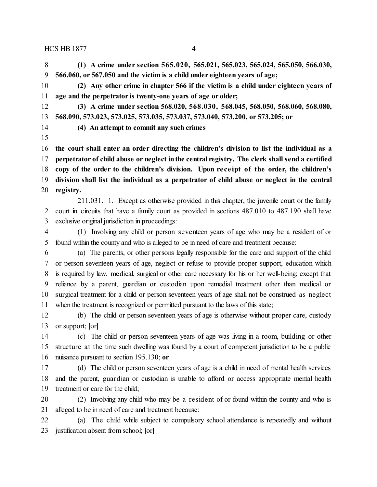HCS HB 1877 4

 **(1) A crime under section 565.020, 565.021, 565.023, 565.024, 565.050, 566.030, 566.060, or 567.050 and the victim is a child under eighteen years of age;**

 **(2) Any other crime in chapter 566 if the victim is a child under eighteen years of age and the perpetrator is twenty-one years of age or older;**

 **(3) A crime under section 568.020, 568.030, 568.045, 568.050, 568.060, 568.080, 568.090, 573.023, 573.025, 573.035, 573.037, 573.040, 573.200, or 573.205; or**

**(4) An attempt to commit any such crimes**

 **the court shall enter an order directing the children's division to list the individual as a perpetrator of child abuse or neglect inthe central registry. The clerk shall send a certified copy of the order to the children's division. Upon re ce ipt of the order, the children's division shall list the individual as a perpetrator of child abuse or neglect in the central registry.**

211.031. 1. Except as otherwise provided in this chapter, the juvenile court or the family court in circuits that have a family court as provided in sections 487.010 to 487.190 shall have exclusive original jurisdiction in proceedings:

 (1) Involving any child or person seventeen years of age who may be a resident of or found within the county and who is alleged to be in need of care and treatment because:

 (a) The parents, or other persons legally responsible for the care and support of the child or person seventeen years of age, neglect or refuse to provide proper support, education which is required by law, medical, surgical or other care necessary for his or her well-being; except that reliance by a parent, guardian or custodian upon remedial treatment other than medical or surgical treatment for a child or person seventeen years of age shall not be construed as neglect when the treatment is recognized or permitted pursuant to the laws of this state;

 (b) The child or person seventeen years of age is otherwise without proper care, custody or support; **[**or**]**

 (c) The child or person seventeen years of age was living in a room, building or other structure at the time such dwelling was found by a court of competent jurisdiction to be a public nuisance pursuant to section 195.130; **or**

 (d) The child or person seventeen years of age is a child in need of mental health services and the parent, guardian or custodian is unable to afford or access appropriate mental health treatment or care for the child;

 (2) Involving any child who may be a resident of or found within the county and who is alleged to be in need of care and treatment because:

 (a) The child while subject to compulsory school attendance is repeatedly and without justification absent from school; **[**or**]**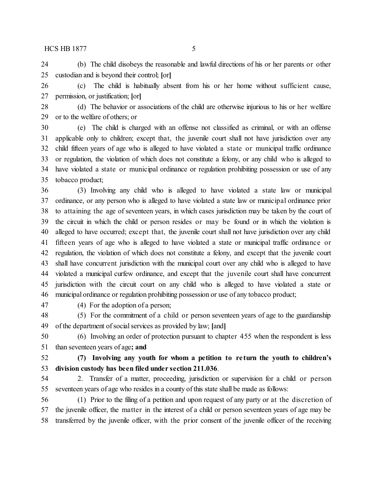$HCS HB1877$  5

 (b) The child disobeys the reasonable and lawful directions of his or her parents or other custodian and is beyond their control; **[**or**]**

 (c) The child is habitually absent from his or her home without sufficient cause, permission, or justification; **[**or**]**

 (d) The behavior or associations of the child are otherwise injurious to his or her welfare or to the welfare of others; or

 (e) The child is charged with an offense not classified as criminal, or with an offense applicable only to children; except that, the juvenile court shall not have jurisdiction over any child fifteen years of age who is alleged to have violated a state or municipal traffic ordinance or regulation, the violation of which does not constitute a felony, or any child who is alleged to have violated a state or municipal ordinance or regulation prohibiting possession or use of any tobacco product;

 (3) Involving any child who is alleged to have violated a state law or municipal ordinance, or any person who is alleged to have violated a state law or municipal ordinance prior to attaining the age of seventeen years, in which cases jurisdiction may be taken by the court of the circuit in which the child or person resides or may be found or in which the violation is alleged to have occurred; except that, the juvenile court shall not have jurisdiction over any child fifteen years of age who is alleged to have violated a state or municipal traffic ordinance or regulation, the violation of which does not constitute a felony, and except that the juvenile court shall have concurrent jurisdiction with the municipal court over any child who is alleged to have violated a municipal curfew ordinance, and except that the juvenile court shall have concurrent jurisdiction with the circuit court on any child who is alleged to have violated a state or municipal ordinance or regulation prohibiting possession or use of any tobacco product;

(4) For the adoption of a person;

 (5) For the commitment of a child or person seventeen years of age to the guardianship of the department of social services as provided by law; **[**and**]**

 (6) Involving an order of protection pursuant to chapter 455 when the respondent is less than seventeen years of age**; and**

 **(7) Involving any youth for whom a petition to re turn the youth to children's division custody has been filed under section 211.036**.

 2. Transfer of a matter, proceeding, jurisdiction or supervision for a child or person seventeen years of age who resides in a county of this state shall be made as follows:

 (1) Prior to the filing of a petition and upon request of any party or at the discretion of the juvenile officer, the matter in the interest of a child or person seventeen years of age may be transferred by the juvenile officer, with the prior consent of the juvenile officer of the receiving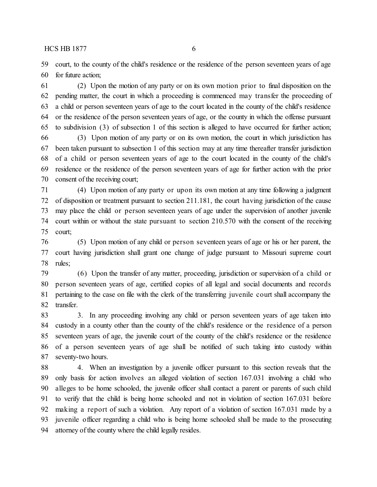$HCS HB1877$  6

 court, to the county of the child's residence or the residence of the person seventeen years of age for future action;

 (2) Upon the motion of any party or on its own motion prior to final disposition on the pending matter, the court in which a proceeding is commenced may transfer the proceeding of a child or person seventeen years of age to the court located in the county of the child's residence or the residence of the person seventeen years of age, or the county in which the offense pursuant to subdivision (3) of subsection 1 of this section is alleged to have occurred for further action;

 (3) Upon motion of any party or on its own motion, the court in which jurisdiction has been taken pursuant to subsection 1 of this section may at any time thereafter transfer jurisdiction of a child or person seventeen years of age to the court located in the county of the child's residence or the residence of the person seventeen years of age for further action with the prior consent of the receiving court;

 (4) Upon motion of any party or upon its own motion at any time following a judgment of disposition or treatment pursuant to section 211.181, the court having jurisdiction of the cause may place the child or person seventeen years of age under the supervision of another juvenile court within or without the state pursuant to section 210.570 with the consent of the receiving court;

 (5) Upon motion of any child or person seventeen years of age or his or her parent, the court having jurisdiction shall grant one change of judge pursuant to Missouri supreme court rules;

 (6) Upon the transfer of any matter, proceeding, jurisdiction or supervision of a child or person seventeen years of age, certified copies of all legal and social documents and records pertaining to the case on file with the clerk of the transferring juvenile court shall accompany the transfer.

 3. In any proceeding involving any child or person seventeen years of age taken into custody in a county other than the county of the child's residence or the residence of a person seventeen years of age, the juvenile court of the county of the child's residence or the residence of a person seventeen years of age shall be notified of such taking into custody within seventy-two hours.

 4. When an investigation by a juvenile officer pursuant to this section reveals that the only basis for action involves an alleged violation of section 167.031 involving a child who alleges to be home schooled, the juvenile officer shall contact a parent or parents of such child to verify that the child is being home schooled and not in violation of section 167.031 before making a report of such a violation. Any report of a violation of section 167.031 made by a juvenile officer regarding a child who is being home schooled shall be made to the prosecuting attorney of the county where the child legally resides.